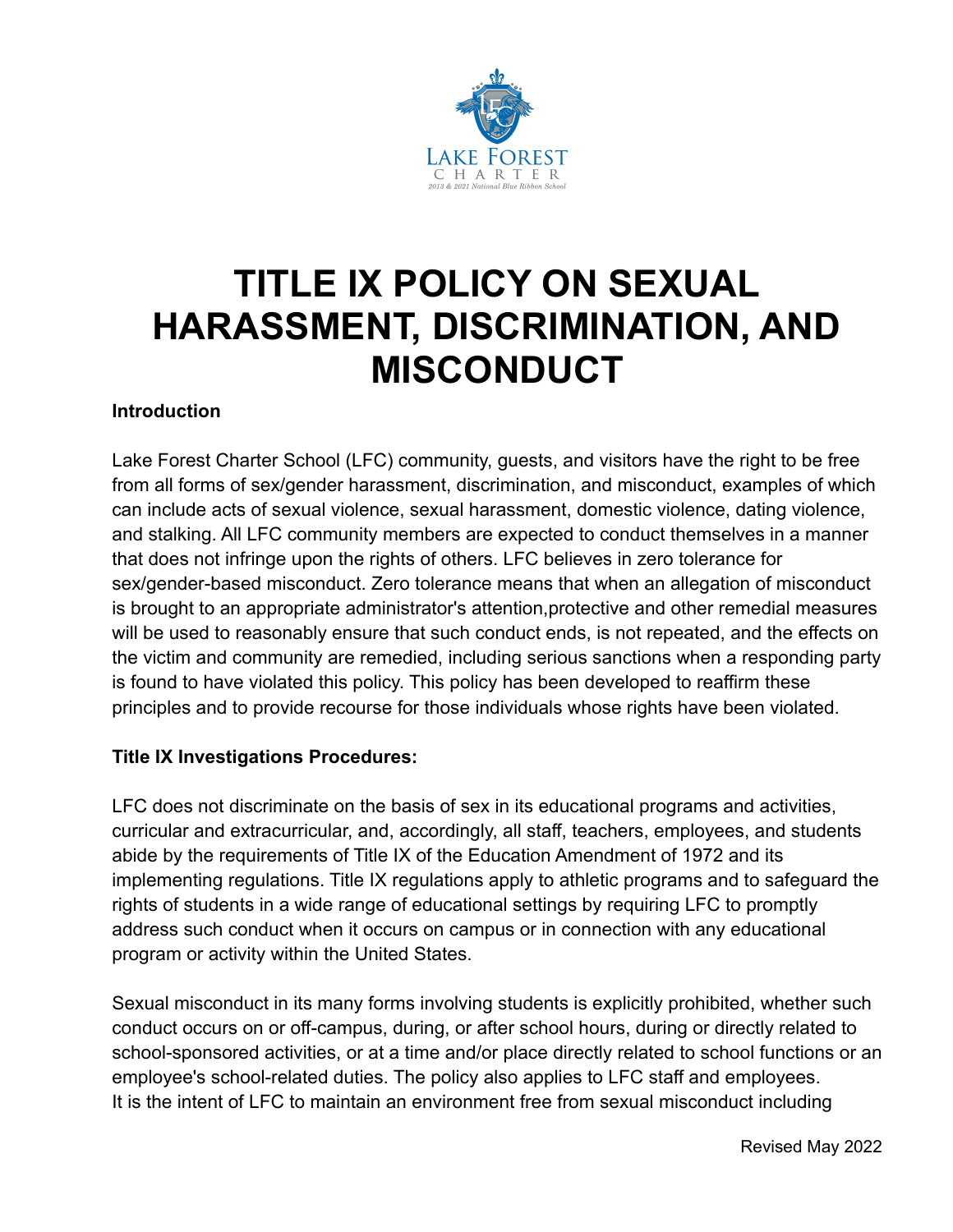

# **TITLE IX POLICY ON SEXUAL HARASSMENT, DISCRIMINATION, AND MISCONDUCT**

# **Introduction**

Lake Forest Charter School (LFC) community, guests, and visitors have the right to be free from all forms of sex/gender harassment, discrimination, and misconduct, examples of which can include acts of sexual violence, sexual harassment, domestic violence, dating violence, and stalking. All LFC community members are expected to conduct themselves in a manner that does not infringe upon the rights of others. LFC believes in zero tolerance for sex/gender-based misconduct. Zero tolerance means that when an allegation of misconduct is brought to an appropriate administrator's attention,protective and other remedial measures will be used to reasonably ensure that such conduct ends, is not repeated, and the effects on the victim and community are remedied, including serious sanctions when a responding party is found to have violated this policy. This policy has been developed to reaffirm these principles and to provide recourse for those individuals whose rights have been violated.

## **Title IX Investigations Procedures:**

LFC does not discriminate on the basis of sex in its educational programs and activities, curricular and extracurricular, and, accordingly, all staff, teachers, employees, and students abide by the requirements of Title IX of the Education Amendment of 1972 and its implementing regulations. Title IX regulations apply to athletic programs and to safeguard the rights of students in a wide range of educational settings by requiring LFC to promptly address such conduct when it occurs on campus or in connection with any educational program or activity within the United States.

Sexual misconduct in its many forms involving students is explicitly prohibited, whether such conduct occurs on or off-campus, during, or after school hours, during or directly related to school-sponsored activities, or at a time and/or place directly related to school functions or an employee's school-related duties. The policy also applies to LFC staff and employees. It is the intent of LFC to maintain an environment free from sexual misconduct including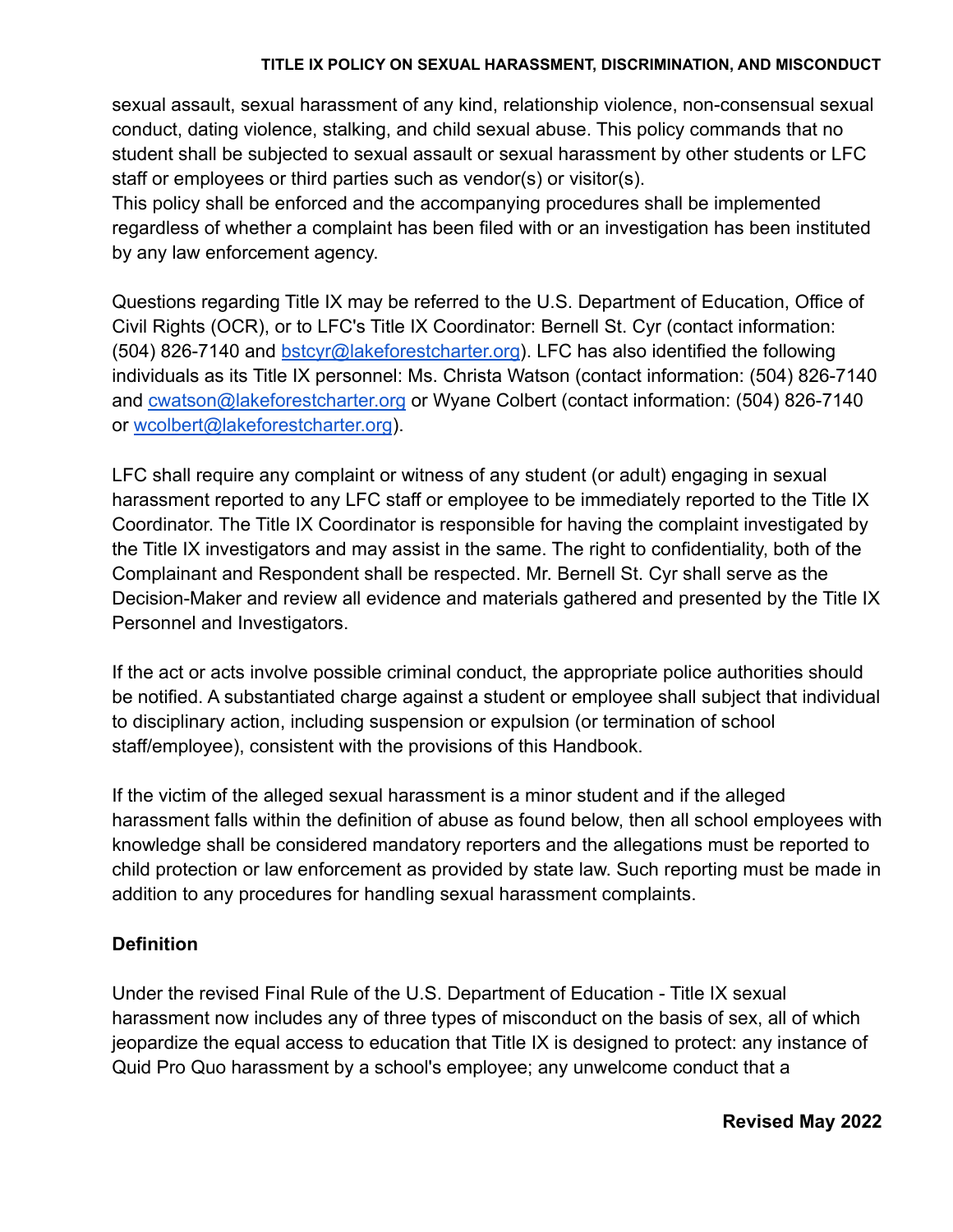#### **TITLE IX POLICY ON SEXUAL HARASSMENT, DISCRIMINATION, AND MISCONDUCT**

sexual assault, sexual harassment of any kind, relationship violence, non-consensual sexual conduct, dating violence, stalking, and child sexual abuse. This policy commands that no student shall be subjected to sexual assault or sexual harassment by other students or LFC staff or employees or third parties such as vendor(s) or visitor(s).

This policy shall be enforced and the accompanying procedures shall be implemented regardless of whether a complaint has been filed with or an investigation has been instituted by any law enforcement agency.

Questions regarding Title IX may be referred to the U.S. Department of Education, Office of Civil Rights (OCR), or to LFC's Title IX Coordinator: Bernell St. Cyr (contact information: (504) 826-7140 and bstcyr@lakeforestcharter.org). LFC has also identified the following individuals as its Title IX personnel: Ms. Christa Watson (contact information: (504) 826-7140 and cwatson@lakeforestcharter.org or Wyane Colbert (contact information: (504) 826-7140 or wcolbert@lakeforestcharter.org).

LFC shall require any complaint or witness of any student (or adult) engaging in sexual harassment reported to any LFC staff or employee to be immediately reported to the Title IX Coordinator. The Title IX Coordinator is responsible for having the complaint investigated by the Title IX investigators and may assist in the same. The right to confidentiality, both of the Complainant and Respondent shall be respected. Mr. Bernell St. Cyr shall serve as the Decision-Maker and review all evidence and materials gathered and presented by the Title IX Personnel and Investigators.

If the act or acts involve possible criminal conduct, the appropriate police authorities should be notified. A substantiated charge against a student or employee shall subject that individual to disciplinary action, including suspension or expulsion (or termination of school staff/employee), consistent with the provisions of this Handbook.

If the victim of the alleged sexual harassment is a minor student and if the alleged harassment falls within the definition of abuse as found below, then all school employees with knowledge shall be considered mandatory reporters and the allegations must be reported to child protection or law enforcement as provided by state law. Such reporting must be made in addition to any procedures for handling sexual harassment complaints.

## **Definition**

Under the revised Final Rule of the U.S. Department of Education - Title IX sexual harassment now includes any of three types of misconduct on the basis of sex, all of which jeopardize the equal access to education that Title IX is designed to protect: any instance of Quid Pro Quo harassment by a school's employee; any unwelcome conduct that a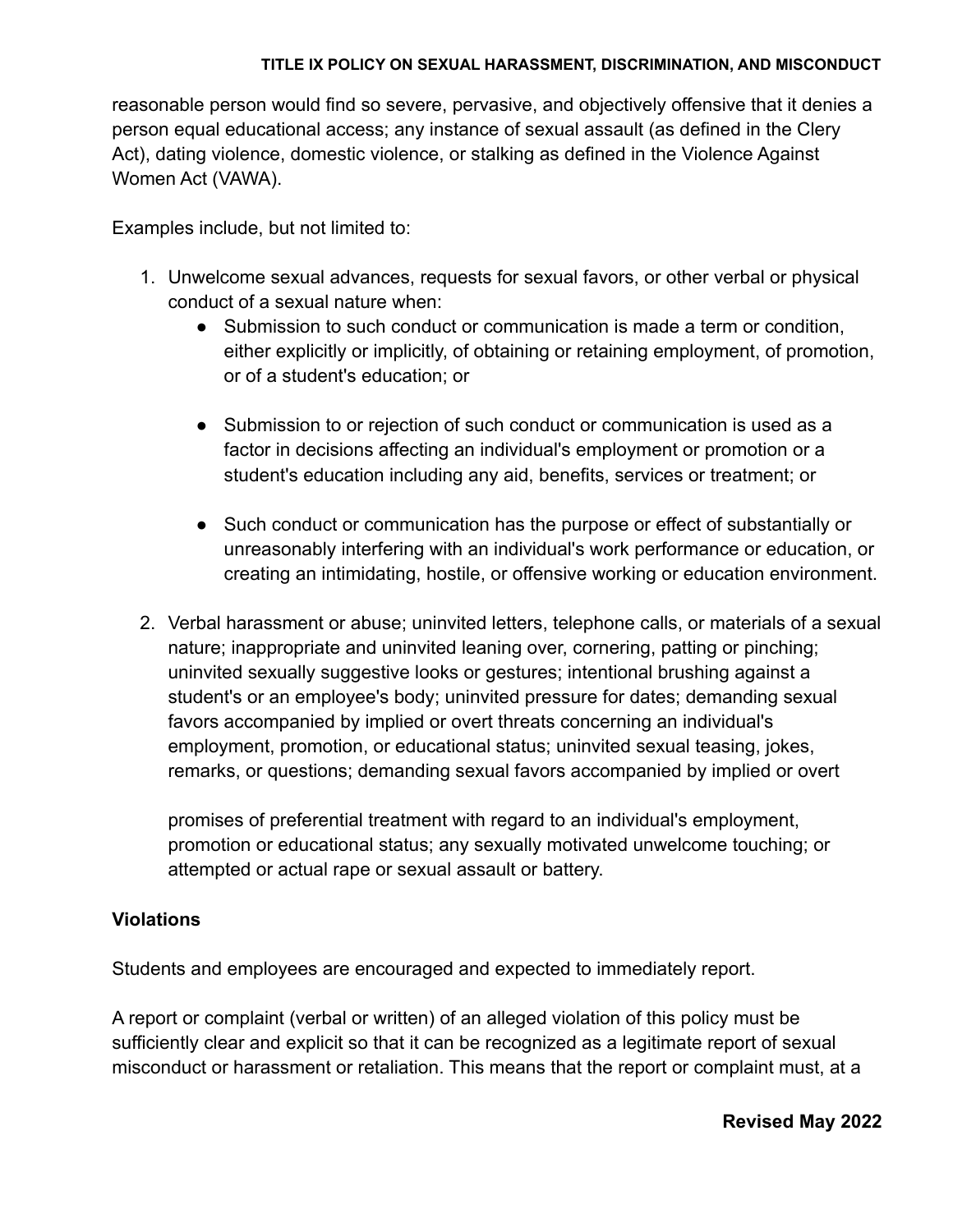#### **TITLE IX POLICY ON SEXUAL HARASSMENT, DISCRIMINATION, AND MISCONDUCT**

reasonable person would find so severe, pervasive, and objectively offensive that it denies a person equal educational access; any instance of sexual assault (as defined in the Clery Act), dating violence, domestic violence, or stalking as defined in the Violence Against Women Act (VAWA).

Examples include, but not limited to:

- 1. Unwelcome sexual advances, requests for sexual favors, or other verbal or physical conduct of a sexual nature when:
	- Submission to such conduct or communication is made a term or condition, either explicitly or implicitly, of obtaining or retaining employment, of promotion, or of a student's education; or
	- Submission to or rejection of such conduct or communication is used as a factor in decisions affecting an individual's employment or promotion or a student's education including any aid, benefits, services or treatment; or
	- Such conduct or communication has the purpose or effect of substantially or unreasonably interfering with an individual's work performance or education, or creating an intimidating, hostile, or offensive working or education environment.
- 2. Verbal harassment or abuse; uninvited letters, telephone calls, or materials of a sexual nature; inappropriate and uninvited leaning over, cornering, patting or pinching; uninvited sexually suggestive looks or gestures; intentional brushing against a student's or an employee's body; uninvited pressure for dates; demanding sexual favors accompanied by implied or overt threats concerning an individual's employment, promotion, or educational status; uninvited sexual teasing, jokes, remarks, or questions; demanding sexual favors accompanied by implied or overt

promises of preferential treatment with regard to an individual's employment, promotion or educational status; any sexually motivated unwelcome touching; or attempted or actual rape or sexual assault or battery.

## **Violations**

Students and employees are encouraged and expected to immediately report.

A report or complaint (verbal or written) of an alleged violation of this policy must be sufficiently clear and explicit so that it can be recognized as a legitimate report of sexual misconduct or harassment or retaliation. This means that the report or complaint must, at a